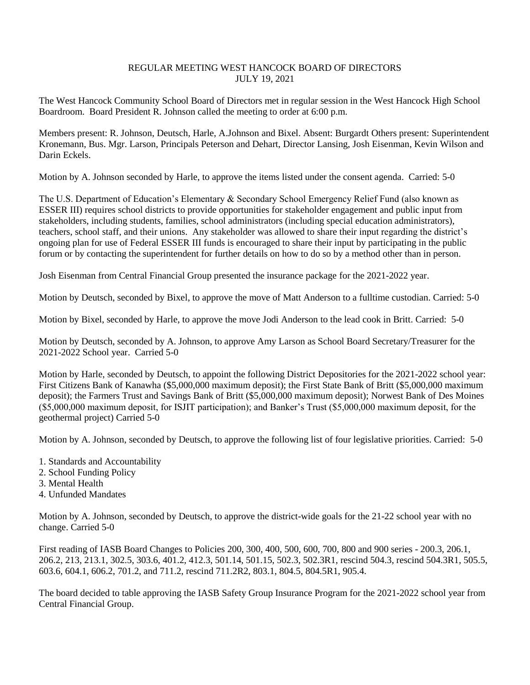## REGULAR MEETING WEST HANCOCK BOARD OF DIRECTORS JULY 19, 2021

The West Hancock Community School Board of Directors met in regular session in the West Hancock High School Boardroom. Board President R. Johnson called the meeting to order at 6:00 p.m.

Members present: R. Johnson, Deutsch, Harle, A.Johnson and Bixel. Absent: Burgardt Others present: Superintendent Kronemann, Bus. Mgr. Larson, Principals Peterson and Dehart, Director Lansing, Josh Eisenman, Kevin Wilson and Darin Eckels.

Motion by A. Johnson seconded by Harle, to approve the items listed under the consent agenda. Carried: 5-0

The U.S. Department of Education's Elementary & Secondary School Emergency Relief Fund (also known as ESSER III) requires school districts to provide opportunities for stakeholder engagement and public input from stakeholders, including students, families, school administrators (including special education administrators), teachers, school staff, and their unions. Any stakeholder was allowed to share their input regarding the district's ongoing plan for use of Federal ESSER III funds is encouraged to share their input by participating in the public forum or by contacting the superintendent for further details on how to do so by a method other than in person.

Josh Eisenman from Central Financial Group presented the insurance package for the 2021-2022 year.

Motion by Deutsch, seconded by Bixel, to approve the move of Matt Anderson to a fulltime custodian. Carried: 5-0

Motion by Bixel, seconded by Harle, to approve the move Jodi Anderson to the lead cook in Britt. Carried: 5-0

Motion by Deutsch, seconded by A. Johnson, to approve Amy Larson as School Board Secretary/Treasurer for the 2021-2022 School year. Carried 5-0

Motion by Harle, seconded by Deutsch, to appoint the following District Depositories for the 2021-2022 school year: First Citizens Bank of Kanawha (\$5,000,000 maximum deposit); the First State Bank of Britt (\$5,000,000 maximum deposit); the Farmers Trust and Savings Bank of Britt (\$5,000,000 maximum deposit); Norwest Bank of Des Moines (\$5,000,000 maximum deposit, for ISJIT participation); and Banker's Trust (\$5,000,000 maximum deposit, for the geothermal project) Carried 5-0

Motion by A. Johnson, seconded by Deutsch, to approve the following list of four legislative priorities. Carried: 5-0

- 1. Standards and Accountability
- 2. School Funding Policy
- 3. Mental Health
- 4. Unfunded Mandates

Motion by A. Johnson, seconded by Deutsch, to approve the district-wide goals for the 21-22 school year with no change. Carried 5-0

First reading of IASB Board Changes to Policies 200, 300, 400, 500, 600, 700, 800 and 900 series - 200.3, 206.1, 206.2, 213, 213.1, 302.5, 303.6, 401.2, 412.3, 501.14, 501.15, 502.3, 502.3R1, rescind 504.3, rescind 504.3R1, 505.5, 603.6, 604.1, 606.2, 701.2, and 711.2, rescind 711.2R2, 803.1, 804.5, 804.5R1, 905.4.

The board decided to table approving the IASB Safety Group Insurance Program for the 2021-2022 school year from Central Financial Group.